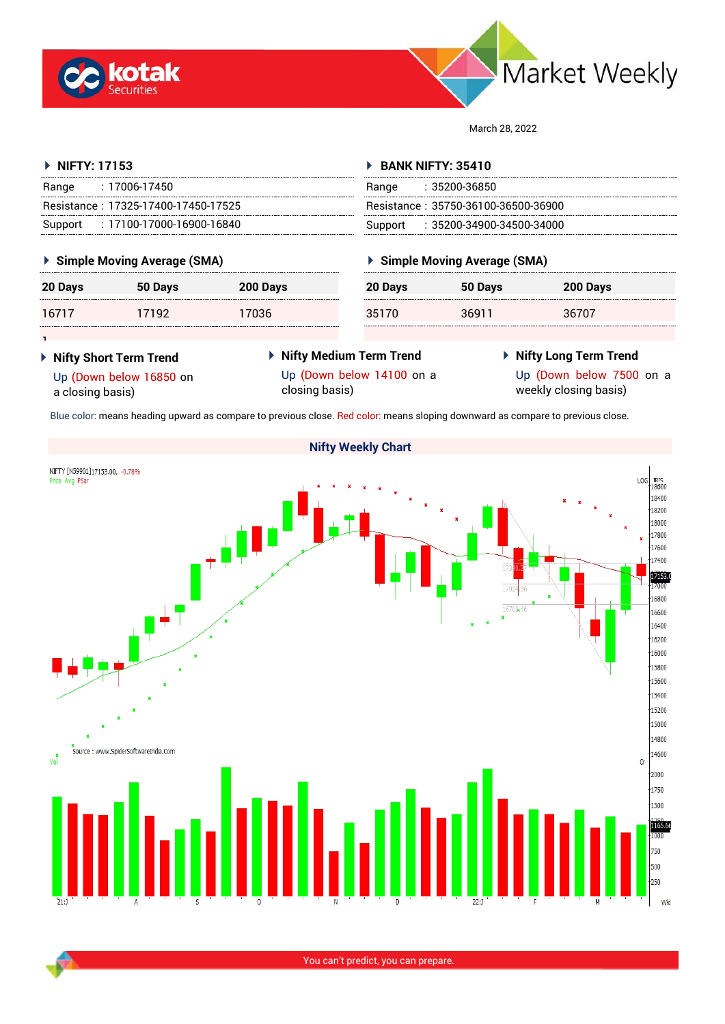



March 28, 2022

| $\triangleright$ NIFTY: 17153       | <b>BANK NIFTY: 35410</b>             |
|-------------------------------------|--------------------------------------|
| : 17006-17450<br>Range              | :35200-36850<br>Range                |
| Resistance: 17325-17400-17450-17525 | Resistance: 35750-36100-36500-36900  |
| : 17100-17000-16900-16840           | : 35200-34900-34500-34000<br>Support |
| ▶ Simple Moving Average (SMA)       | ▶ Simple Moving Average (SMA)        |

| 20 Days | 50 Days | 200 Days |
|---------|---------|----------|
| 16717   | 17192   | 17036    |

| 50 Days | 200 Days | -------------------------<br>20 Days<br> |
|---------|----------|------------------------------------------|
| 17192   | 17036    | 35170                                    |

| 35170 | 36911 |  |
|-------|-------|--|
|       |       |  |
|       |       |  |

 **Nifty Short Term Trend** Up (Down below 16850 on a closing basis)

1

- **Nifty Medium Term Trend** Up (Down below 14100 on a closing basis)
- **Nifty Long Term Trend**

36707

**20 Days 50 Days 200 Days**

Up (Down below 7500 on a weekly closing basis)

Blue color: means heading upward as compare to previous close. Red color: means sloping downward as compare to previous close.



You can't predict, you can prepare.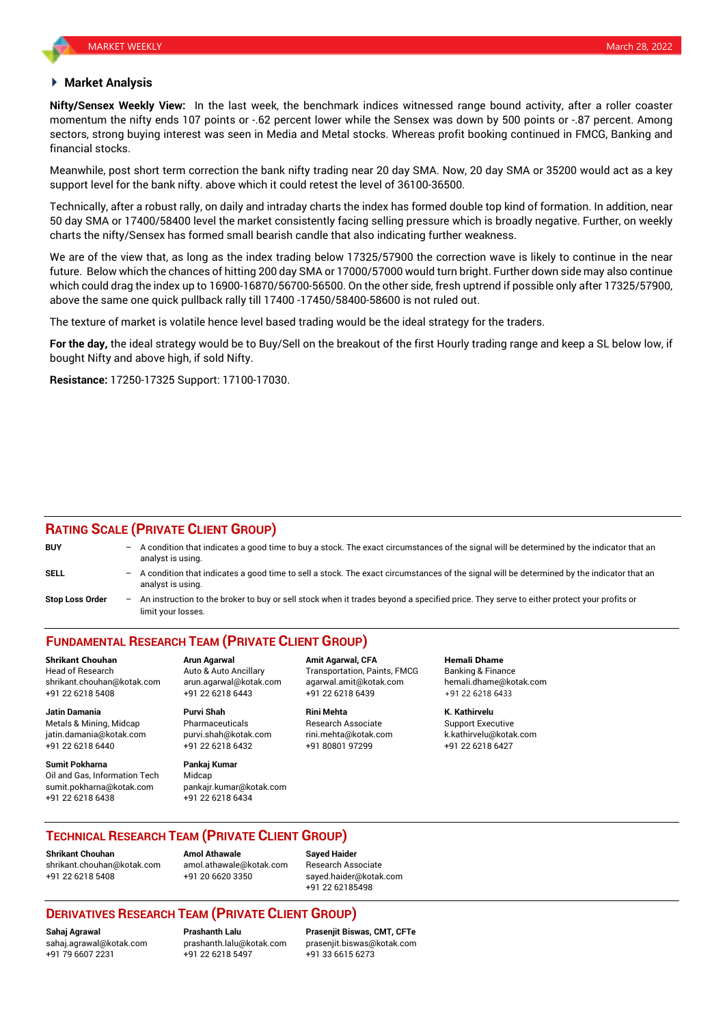#### **Market Analysis**

**Nifty/Sensex Weekly View:** In the last week, the benchmark indices witnessed range bound activity, after a roller coaster momentum the nifty ends 107 points or -.62 percent lower while the Sensex was down by 500 points or -.87 percent. Among sectors, strong buying interest was seen in Media and Metal stocks. Whereas profit booking continued in FMCG, Banking and financial stocks.

Meanwhile, post short term correction the bank nifty trading near 20 day SMA. Now, 20 day SMA or 35200 would act as a key support level for the bank nifty. above which it could retest the level of 36100-36500.

Technically, after a robust rally, on daily and intraday charts the index has formed double top kind of formation. In addition, near 50 day SMA or 17400/58400 level the market consistently facing selling pressure which is broadly negative. Further, on weekly charts the nifty/Sensex has formed small bearish candle that also indicating further weakness.

We are of the view that, as long as the index trading below 17325/57900 the correction wave is likely to continue in the near future. Below which the chances of hitting 200 day SMA or 17000/57000 would turn bright. Further down side may also continue which could drag the index up to 16900-16870/56700-56500. On the other side, fresh uptrend if possible only after 17325/57900, above the same one quick pullback rally till 17400 -17450/58400-58600 is not ruled out.

The texture of market is volatile hence level based trading would be the ideal strategy for the traders.

**For the day,** the ideal strategy would be to Buy/Sell on the breakout of the first Hourly trading range and keep a SL below low, if bought Nifty and above high, if sold Nifty.

**Resistance:** 17250-17325 Support: 17100-17030.

### **RATING SCALE (PRIVATE CLIENT GROUP)**

| <b>BUY</b>      | - A condition that indicates a good time to buy a stock. The exact circumstances of the signal will be determined by the indicator that an<br>analyst is using.  |
|-----------------|------------------------------------------------------------------------------------------------------------------------------------------------------------------|
| SELL            | - A condition that indicates a good time to sell a stock. The exact circumstances of the signal will be determined by the indicator that an<br>analyst is using. |
| Stop Loss Order | An instruction to the broker to buy or sell stock when it trades beyond a specified price. They serve to either protect your profits or<br>limit your losses.    |

# **FUNDAMENTAL RESEARCH TEAM (PRIVATE CLIENT GROUP)**

Head of Research **Auto & Auto Ancillary** Transportation, Paints, FMCG Banking & Finance shrikant.chouhan@kotak.com arun.agarwal@kotak.com [agarwal.amit@kotak.com](mailto:agarwal.amit@kotak.com) hemali.dhame@kotak.com +91 22 6218 5408 +91 22 6218 6443 +91 22 6218 6439 +91 22 6218 6433

Metals & Mining, Midcap Pharmaceuticals Research Associate Support Executive jatin.damania@kotak.com [purvi.shah@kotak.com](mailto:purvi.shah@kotak.com) rini.mehta@kotak.com [k.kathirvelu@kotak.com](mailto:k.kathirvelu@kotak.com) +91 22 6218 6440 +91 22 6218 6432 +91 80801 97299 +91 22 6218 6427

**Sumit Pokharna** Pankaj Kumar Oil and Gas, Information Tech Midcap sumit.pokharna@kotak.com pankajr.kumar@kotak.com +91 22 6218 6438 +91 22 6218 6434

**Jatin Damania Purvi Shah Rini Mehta K. Kathirvelu**

**Shrikant Chouhan Arun Agarwal Amit Agarwal, CFA Hemali Dhame**

## **TECHNICAL RESEARCH TEAM (PRIVATE CLIENT GROUP)**

**Shrikant Chouhan Amol Athawale Sayed Haider** [shrikant.chouhan@kotak.com](mailto:shrikant.chouhan@kotak.com) [amol.athawale@kotak.com](mailto:amol.athawale@kotak.com) Research Associate +91 22 6218 5408 +91 20 6620 3350 [sayed.haider@kotak.com](mailto:sayed.haider@kotak.com)

+91 22 62185498

## **DERIVATIVES RESEARCH TEAM (PRIVATE CLIENT GROUP)**

+91 79 6607 2231 +91 22 6218 5497 +91 33 6615 6273

**Sahaj Agrawal Prashanth Lalu Prasenjit Biswas, CMT, CFTe** [prasenjit.biswas@kotak.com](mailto:prasenjit.biswas@kotak.com)